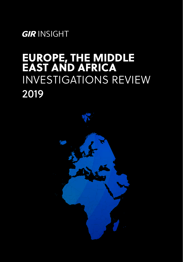*GIR* INSIGHT

## EUROPE, THE MIDDLE EAST AND AFRICA INVESTIGATIONS REVIEW 2019

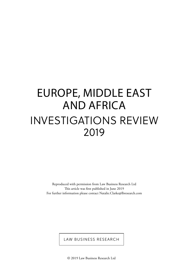# EUROPE, MIDDLE EAST AND AFRICA INVESTIGATIONS REVIEW 2019

Reproduced with permission from Law Business Research Ltd This article was first published in June 2019 For further information please contact Natalie.Clarke@lbresearch.com

LAW BUSINESS RESEARCH

© 2019 Law Business Research Ltd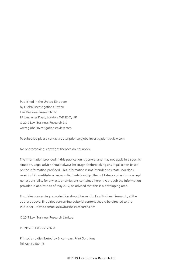Published in the United Kingdom by Global Investigations Review Law Business Research Ltd 87 Lancaster Road, London, W11 1QQ, UK © 2019 Law Business Research Ltd www.globalinvestigationsreview.com

To subscribe please contact subscriptions@globalinvestigationsreview.com

No photocopying: copyright licences do not apply.

The information provided in this publication is general and may not apply in a specific situation. Legal advice should always be sought before taking any legal action based on the information provided. This information is not intended to create, nor does receipt of it constitute, a lawyer–client relationship. The publishers and authors accept no responsibility for any acts or omissions contained herein. Although the information provided is accurate as of May 2019, be advised that this is a developing area.

Enquiries concerning reproduction should be sent to Law Business Research, at the address above. Enquiries concerning editorial content should be directed to the Publisher – david.samuels@lawbusinessresearch.com

© 2019 Law Business Research Limited

ISBN: 978-1-83862-226-8

Printed and distributed by Encompass Print Solutions Tel: 0844 2480 112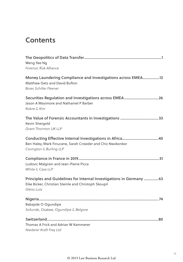### **Contents**

| Weng Yee Ng<br>Forensic Risk Alliance                                                                                                       |
|---------------------------------------------------------------------------------------------------------------------------------------------|
| Money Laundering Compliance and Investigations across EMEA12<br>Matthew Getz and David Bufton<br><b>Boies Schiller Flexner</b>              |
| Jason A Masimore and Nathaniel P Barber<br>Kobre & Kim                                                                                      |
| Kevin Shergold<br>Grant Thornton UK LLP                                                                                                     |
| Ben Haley, Mark Finucane, Sarah Crowder and Chiz Nwokonkor<br>Covington & Burling LLP                                                       |
| Ludovic Malgrain and Jean-Pierre Picca<br>White & Case LLP                                                                                  |
| Principles and Guidelines for Internal Investigations in Germany  63<br>Eike Bicker, Christian Steinle and Christoph Skoupil<br>Gleiss Lutz |
| Babajide O Ogundipe<br>Sofunde, Osakwe, Ogundipe & Belgore                                                                                  |
| Thomas A Frick and Adrian W Kammerer<br>Niederer Kraft Frey Ltd                                                                             |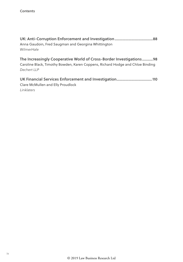| Anna Gaudoin, Fred Saugman and Georgina Whittington                            |  |
|--------------------------------------------------------------------------------|--|
| WilmerHale                                                                     |  |
|                                                                                |  |
|                                                                                |  |
| The Increasingly Cooperative World of Cross-Border Investigations98            |  |
| Caroline Black, Timothy Bowden, Karen Coppens, Richard Hodge and Chloe Binding |  |

Clare McMullen and Elly Proudlock Linklaters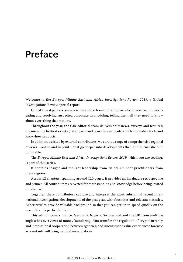### Preface

Welcome to the *Europe, Middle East and Africa Investigations Review 2019*, a Global Investigations Review special report.

Global Investigations Review is the online home for all those who specialise in investigating and resolving suspected corporate wrongdoing, telling them all they need to know about everything that matters.

Throughout the year, the GIR editorial team delivers daily news, surveys and features; organises the liveliest events ('GIR Live'); and provides our readers with innovative tools and know-how products.

In addition, assisted by external contributors, we curate a range of comprehensive regional reviews – online and in print – that go deeper into developments than our journalistic output is able.

The *Europe, Middle East and Africa Investigations Review 2019*, which you are reading, is part of that series.

It contains insight and thought leadership from 28 pre-eminent practitioners from these regions.

Across 12 chapters, spanning around 120 pages, it provides an invaluable retrospective and primer. All contributors are vetted for their standing and knowledge before being invited to take part.

Together, these contributors capture and interpret the most substantial recent international investigations developments of the past year, with footnotes and relevant statistics. Other articles provide valuable background so that you can get up to speed quickly on the essentials of a particular topic.

This edition covers France, Germany, Nigeria, Switzerland and the UK from multiple angles; has overviews of money laundering, data transfer, the regulation of cryptocurrency and international cooperation between agencies; and discusses the value experienced forensic accountants will bring to most investigations.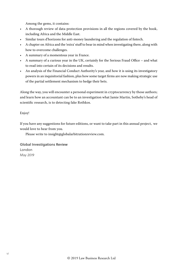Among the gems, it contains:

- A thorough review of data-protection provisions in all the regions covered by the book, including Africa and the Middle East.
- Similar tours d'horizons for anti-money laundering and the regulation of fintech.
- A chapter on Africa and the 'extra' stuff to bear in mind when investigating there, along with how to overcome challenges.
- A summary of a momentous year in France.
- A summary of a curious year in the UK, certainly for the Serious Fraud Office and what to read into certain of its decisions and results.
- An analysis of the Financial Conduct Authority's year, and how it is using its investigatory powers in an inquisitorial fashion, plus how some target firms are now making strategic use of the partial settlement mechanism to hedge their bets.

Along the way, you will encounter a personal experiment in cryptocurrency by those authors; and learn how an accountant can be to an investigation what Jamie Martin, Sotheby's head of scientific research, is to detecting fake Rothkos.

Enjoy!

If you have any suggestions for future editions, or want to take part in this annual project, we would love to hear from you.

Please write to insight@globalarbitrationreview.com.

Global Investigations Review London *May 2019*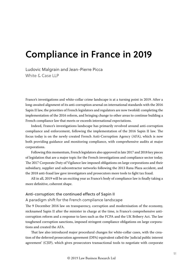### Compliance in France in 2019

Ludovic Malgrain and Jean-Pierre Picca White & Case LLP

France's investigations and white-collar crime landscape is at a turning point in 2019. After a long-awaited alignment of its anti-corruption arsenal on international standards with the 2016 Sapin II law, the priorities of French legislators and regulators are now twofold: completing the implementation of the 2016 reform, and bringing change to other areas to continue building a French compliance law that meets or exceeds international expectations.

Indeed, France's investigations landscape has primarily revolved around anti-corruption compliance and enforcement, following the implementation of the 2016 Sapin II law. The focus today is on the newly created French Anti-Corruption Agency (AFA), which is now both providing guidance and monitoring compliance, with comprehensive audits at major corporations.

Following this momentum, French legislators also approved in late 2017 and 2018 key pieces of legislation that are a major topic for the French investigations and compliance sector today. The 2017 Corporate Duty of Vigilance law imposed obligations on large corporations and their subsidiary, supplier and subcontractor networks following the 2013 Rana Plaza accident, and the 2018 anti-fraud law gave investigators and prosecutors more tools to fight tax fraud.

All in all, 2019 will be an exciting year as France's body of compliance law is finally taking a more definitive, coherent shape.

#### Anti-corruption: the continued effects of Sapin II

#### A paradigm shift for the French compliance landscape

The 9 December 2016 law on transparency, corruption and modernisation of the economy, nicknamed Sapin II after the minister in charge at the time, is France's comprehensive anticorruption reform and a response to laws such as the FCPA and the UK Bribery Act. The law toughened corruption sanctions, imposed stringent compliance obligations on large corporations and created the AFA.

That law also introduced major procedural changes for white-collar cases, with the creation of the deferred prosecution agreement (DPA) equivalent called the 'judicial public interest agreement' (CJIP), which gives prosecutors transactional tools to negotiate with corporate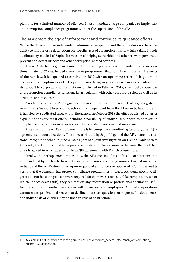plaintiffs for a limited number of offences. It also mandated large companies to implement anti-corruption compliance programmes, under the supervision of the AFA.

#### The AFA enters the age of enforcement and continues its guidance efforts

While the AFA is not an independent administrative agency, and therefore does not have the ability to impose or seek sanctions for specific acts of corruption, it is now fully taking its role attributed by article 1 of Sapin II: a mission of helping authorities and other relevant persons to prevent and detect bribery and other corruption-related offences.

The AFA started its guidance mission by publishing a set of recommendations to corporations in late 2017<sup>1</sup> that helped them create programmes that comply with the requirements of the new law. It is expected to continue in 2019 with an upcoming series of six guides on certain anti-corruption aspects. They draw from the agency's experience in its controls and in its support to corporations. The first one, published in February 2019, specifically covers the anti-corruption compliance function, its articulation with other corporate roles, as well as its structure and resources.

Another aspect of the AFA's guidance mission in the corporate realm that is gaining steam in 2019 is its 'support to economic actors'. It is independent from the AFA's audit function, and is handled by a dedicated office within the agency. In October 2018 the office published a charter explaining the services it offers, including a possibility of 'individual support' to help set up compliance programmes or answer corruption-related questions that may arise.

A key part of the AFA's enforcement role is its compliance monitoring function, after CJIP agreements or court decisions. That role, attributed by Sapin II, gained the AFA some international recognition when in June 2018, as part of a joint investigation on French Bank Société Générale, the DOJ declined to impose a separate compliance monitor because the bank had already agreed to AFA supervision in a CJIP agreement with French prosecutors.

Finally, and perhaps most importantly, the AFA continued its audits at corporations that are mandated by the law to have anti-corruption compliance programmes. Carried out at the initiative of the AFA's director or upon request of authorities or approved NGOs, the audits verify that the company has proper compliance programmes in place. Although AFA investigators do not have the police powers required for coercive searches (unlike competition, tax or judicial police dawn raids), they can request any information or professional document useful for the audit, and conduct interviews with managers and employees. Audited corporations cannot claim professional secrecy to decline to answer questions or requests for documents, and individuals or entities may be fined in case of obstruction.

Available in English : www.economie.gouv.fr/files/files/directions\_services/afa/French\_Anticorruption Agency \_Guidelines.pdf.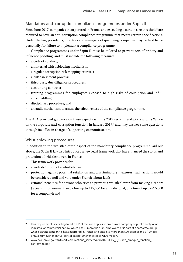#### Mandatory anti-corruption compliance programmes under Sapin II

Since June 2017, companies incorporated in France and exceeding a certain size threshold<sup>2</sup> are required to have an anti-corruption compliance programme that meets certain specifications. Under the law, presidents, directors and managers of qualifying companies may be held liable personally for failure to implement a compliance programme.

Compliance programmes under Sapin II must be tailored to prevent acts of bribery and influence peddling, and must include the following measures:

- a code of conduct;
- an internal whistleblowing mechanism;
- a regular corruption risk mapping exercise;
- a risk assessment process;
- third-party due diligence procedures;
- accounting controls;
- training programmes for employees exposed to high risks of corruption and influence peddling;
- disciplinary procedure; and
- an audit mechanism to assess the effectiveness of the compliance programme.

The AFA provided guidance on these aspects with its 2017 recommendations and its 'Guide on the corporate anti-corruption function' in January  $2019$ ,<sup>3</sup> and may answer some questions through its office in charge of supporting economic actors.

#### Whistleblowing procedures

In addition to the 'whistleblower' aspect of the mandatory compliance programme laid out above, the Sapin II law also introduced a new legal framework that has enhanced the status and protection of whistleblowers in France.

This framework provides for:

- a wide definition of a whistleblower;
- protection against potential retaliation and discriminatory measures (such actions would be considered null and void under French labour law);
- criminal penalties for anyone who tries to prevent a whistleblower from making a report (a year's imprisonment and a fine up to  $\epsilon$ 15,000 for an individual, or a fine of up to  $\epsilon$ 75,000 for a company); and

<sup>2</sup> This requirement, according to article 17 of the law, applies to any private company or public entity of an industrial or commercial nature, which has (i) more than 500 employees or is part of a corporate group whose parent company is headquartered in France and employs more than 500 people; and (ii) whose annual turnover or annual consolidated turnover exceeds €100 million.

<sup>3</sup> www.economie.gouv.fr/files/files/directions\_services/afa/2019-01-29 - Guide\_pratique\_fonction conformite.pdf.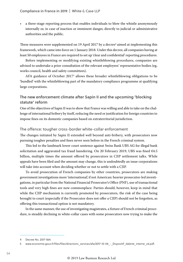• a three-stage reporting process that enables individuals to blow the whistle anonymously internally or, in case of inaction or imminent danger, directly to judicial or administrative authorities and the public.

These measures were supplemented on 19 April 2017 by a decree<sup>4</sup> aimed at implementing this framework, which came into force on 1 January 2018. Under this decree, all companies having at least 50 employees in France are required to set up 'clear and confidential' reporting procedures.

Before implementing or modifying existing whistleblowing procedures, companies are advised to undertake a prior consultation of the relevant employees' representative bodies (eg, works council, health and safety committees).

AFA guidance of October 20175 allows these broader whistleblowing obligations to be 'bundled' with the whistleblowing part of the mandatory compliance programme at qualifying large corporations.

#### The new enforcement climate after Sapin II and the upcoming 'blocking statute' reform

One of the objectives of Sapin II was to show that France was willing and able to take on the challenge of international bribery by itself, reducing the need or justification for foreign countries to impose fines on its domestic companies based on extraterritorial jurisdiction.

#### The offence: tougher cross-border white-collar enforcement

The changes initiated by Sapin II extended well beyond anti-bribery, with prosecutors now pursuing tougher penalties and fines never seen before in the French criminal system.

This led to the landmark lower court sentence against Swiss Bank UBS AG for illegal bank solicitation and aggravated tax fraud laundering. On 20 February 2019, UBS was fined  $64.5$ billion, multiple times the amount offered by prosecutors in CJIP settlement talks. While appeals have been filed and the amount may change, this is undoubtedly an issue corporations will take into account when deciding whether or not to settle with a CJIP.

To avoid prosecution of French companies by other countries, prosecutors are making government investigations more 'international', if not American: heavier prosecutor-led investigations, in particular from the National Financial Prosecutor's Office (PNF), use of transactional tools and very high fines are now commonplace. Parties should, however, keep in mind that while the CJIP mechanism is currently promoted by prosecutors, the risk of the case being brought to court (especially if the Prosecutor does not offer a CJIP) should not be forgotten, as offering this transactional option is not mandatory.

In the same manner, the use of investigating magistrates, a fixture of French criminal procedure, is steadily declining in white-collar cases with some prosecutors now trying to make the

<sup>4</sup> Decree No. 2017-564.

<sup>5</sup> www.economie.gouv.fr/files/files/directions\_services/afa/2017-10-04 - Dispositif\_dalerte\_interne\_vd.pdf.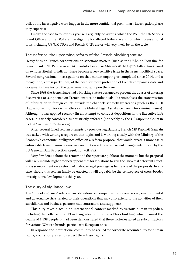bulk of the investigative work happen in the more confidential preliminary investigation phase they supervise.

Finally, the case to follow this year will arguably be Airbus, which the PNF, the UK Serious Fraud Office and the DOJ are investigating for alleged bribery – and for which transactional tools including US/UK DPAs and French CJIPs are or will very likely be on the table.

#### The defence: the upcoming reform of the French blocking statute

Heavy fines on French corporations on sanctions matters (such as the US\$8.9 billion fine for French Bank BNP Paribas in 2014) or anti-bribery (like Alstom's 2014 US\$772 billion fine) based on extraterritorial jurisdiction have become a very sensitive issue in the French political space. Several congressional investigations on that matter, ongoing or completed since 2014, and a recognition, across party lines, of the need for more protection of French companies' data and documents have incited the government to act upon the issue.

Since 1968 the French have had a blocking statute designed to prevent the abuses of entering discoveries or subpoenas on French entities or individuals. It criminalises the transmission of information to foreign courts outside the channels set forth by treaties (such as the 1970 Hague convention for civil matters or the Mutual Legal Assistance Treaty for criminal issues). Although it was applied recently (in an attempt to conduct depositions in the Executive Life case), it is widely considered as not strictly enforced (noticeably by the US Supreme Court in its 1987 *Aerospatiale* decision).

After several failed reform attempts by previous legislatures, French MP Raphaël Gauvain was tasked with writing a report on that topic, and is working closely with the Ministry of the Economy's economic intelligence office on a reform proposal that would create a more easily enforceable transmission regime, in conjunction with certain recent changes introduced by the EU General Data Protection Regulation (GDPR).

Very few details about the reform and the report are public at the moment, but the proposal will likely include higher monetary penalties for violations to give the law a real deterrent effect. Press sources mention a reform of in-house legal privilege as being one of the proposals. In any case, should this reform finally be enacted, it will arguably be the centrepiece of cross-border investigations developments this year.

#### The duty of vigilance law

The 'duty of vigilance' refers to an obligation on companies to prevent social, environmental and governance risks related to their operations that may also extend to the activities of their subsidiaries and business partners (subcontractors and suppliers).

This duty takes place in an international context marked by various human tragedies, including the collapse in 2013 in Bangladesh of the Rana Plaza building, which caused the deaths of 1,138 people. It had been demonstrated that these factories acted as subcontractors for various Western brands, particularly European ones.

In response, the international community has called for corporate accountability for human rights, asking companies to respect these basic rights.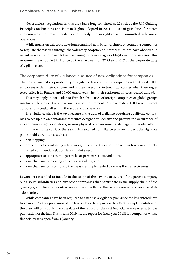Nevertheless, regulations in this area have long remained 'soft', such as the UN Guiding Principles on Business and Human Rights, adopted in 2011 – a set of guidelines for states and companies to prevent, address and remedy human rights abuses committed in business operations.

While norms on this topic have long remained non-binding, simply encouraging companies to regulate themselves through the voluntary adoption of internal rules, we have observed in recent years a trend towards the 'hardening' of human rights obligations for businesses. This movement is embodied in France by the enactment on 27 March 2017 of the corporate duty of vigilance law.

#### The corporate duty of vigilance: a source of new obligations for companies

The newly enacted corporate duty of vigilance law applies to companies with at least 5,000 employees within their company and in their direct and indirect subsidiaries when their registered office is in France, and 10,000 employees when their registered office is located abroad.

This may apply in particular to French subsidiaries of foreign companies or global groups insofar as they meet the above-mentioned requirement. Approximately 150 French parent corporations could fall within the scope of this new law.

The 'vigilance plan' is the key measure of the duty of vigilance, requiring qualifying companies to set up a plan containing measures designed to identify and prevent the occurrence of risks of human rights violations, serious physical or environmental damage, and safety risks.

In line with the spirit of the Sapin II-mandated compliance plan for bribery, the vigilance plan should cover items such as:

- risk mapping;
- procedures for evaluating subsidiaries, subcontractors and suppliers with whom an established commercial relationship is maintained;
- appropriate actions to mitigate risks or prevent serious violations;
- a mechanism for alerting and collecting alerts; and
- a mechanism for monitoring the measures implemented to assess their effectiveness.

Lawmakers intended to include in the scope of this law the activities of the parent company but also its subsidiaries and any other companies that participate in the supply chain of the group (eg, suppliers, subcontractors) either directly for the parent company or for one of its subsidiaries.

While companies have been required to establish a vigilance plan since the law entered into force in 2017, other provisions of the law, such as the report on the effective implementation of the plan, will only apply from the date of the report for the first financial year opened after the publication of the law. This means 2019 (ie, the report for fiscal year 2018) for companies whose financial year is open from 1 January.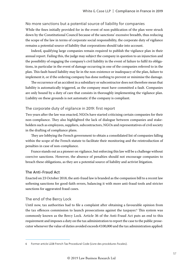#### No more sanctions but a potential source of liability for companies

While the fines initially provided for in the event of non-publication of the plan were struck down by the Constitutional Council because of the sanctions' excessive breadth, thus reducing the scope of the law in terms of corporate social responsibility, the corporate duty of vigilance remains a potential source of liability that corporations should take into account.

Indeed, qualifying large companies remain required to publish the vigilance plan in their annual report. Failing this, the judge may subject the company in question to an injunction and the possibility of engaging the company's civil liability in the event of failure to fulfil its obligations, in particular in the event of damage occurring in one of the companies referred to in the plan. This fault-based liability may lie in the non-existence or inadequacy of the plan, failure to implement it, or if the ordering company has done nothing to prevent or minimise the damage.

The occurrence of an accident in a subsidiary or subcontractor does not therefore mean that liability is automatically triggered, as the company must have committed a fault. Companies are only bound by a duty of care that consists in thoroughly implementing the vigilance plan. Liability on these grounds is not automatic if the company is compliant.

#### The corporate duty of vigilance in 2019: first report

Two years after the law was enacted, NGOs have started criticising certain companies for their non-compliance. They also highlighted the lack of dialogue between companies and stakeholders such as employees, suppliers, subcontractors, NGOs and representatives of civil society in the drafting of compliance plans.

They are lobbying the French government to obtain a consolidated list of companies falling within the scope of the French statute to facilitate their monitoring and the reintroduction of penalties in case of non-compliance.

France stands out as a pioneer on vigilance, but enforcing this law will be a challenge without coercive sanctions. However, the absence of penalties should not encourage companies to breach these obligations, as they are a potential source of liability and activist litigation.

#### The Anti-Fraud Act

Enacted on 23 October 2018, the anti-fraud law is branded as the companion bill to a recent law softening sanctions for good-faith errors, balancing it with more anti-fraud tools and stricter sanctions for aggravated fraud cases.

#### The end of the Bercy Lock

Until now, tax authorities had to file a complaint after obtaining a favourable opinion from the tax offences commission to launch prosecutions against the taxpayer.<sup>6</sup> This system was commonly known as the Bercy Lock. Article 36 of the Anti-Fraud Act puts an end to this requirement and imposes a duty on the tax administration to report the case to the public prosecutor whenever the value of duties avoided exceeds €100,000 and the tax administration applied:

<sup>6</sup> Former article L228 French Tax Procedural Code (Livre des procédures fiscales).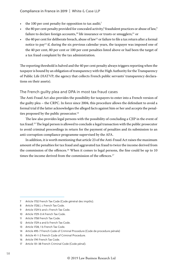- $\cdot$  the 100 per cent penalty for opposition to tax audit;<sup>7</sup>
- the 80 per cent penalty provided for concealed activity, $^8$  fraudulent practices or abuse of law, $^9$ failure to declare foreign accounts,<sup>10</sup> life insurance or trusts or smugglers;<sup>11</sup> or
- $\cdot$  the 40 per cent for deliberate breach, abuse of law<sup>12</sup> or failure to file a tax return after a formal notice to pay<sup>13</sup> if, during the six previous calendar years, the taxpayer was imposed one of the 40 per cent, 80 per cent or 100 per cent penalties listed above or had been the target of a tax fraud complaint by the tax administration.

The reporting threshold is halved and the 40 per cent penalty always triggers reporting when the taxpayer is bound by an obligation of transparency with the High Authority for the Transparency of Public Life (HATVP; the agency that collects French public servants' transparency declarations on their assets).

#### The French guilty plea and DPA in most tax fraud cases

The Anti-Fraud Act also provides the possibility for taxpayers to enter into a French version of the guilty plea – the CRPC. In force since 2004, this procedure allows the defendant to avoid a formal trial if the latter acknowledges the alleged facts against him or her and accepts the penalties proposed by the public prosecutor. $14$ 

The law also provides legal persons with the possibility of concluding a CJIP in the event of tax fraud.<sup>15</sup> The legal person is allowed to conclude a legal transaction with the public prosecutor to avoid criminal proceedings in return for the payment of penalties and its submission to an anti-corruption compliance programme supervised by the AFA.

In addition, it is worth mentioning that article 23 of the Anti-Fraud Act raises the maximum amount of the penalties for tax fraud and aggravated tax fraud to twice the income derived from the commission of the offences.<sup>16</sup> When it comes to legal persons, the fine could be up to 10 times the income derived from the commission of the offences.<sup>17</sup>

<sup>7</sup> Article 1732 French Tax Code (Code général des impôts).

<sup>8</sup> Article 1728,1, c French Tax Code.

<sup>9</sup> Article 1729 b and c French Tax Code.

<sup>10</sup> Article 1729-0 A French Tax Code.

<sup>11</sup> Article 1758 French Tax Code.

<sup>12</sup> Article 1729 a and b French Tax Code.

<sup>13</sup> Article 1728, 1 b French Tax Code.

<sup>14</sup> Article 495-7 French Code of Criminal Procedure (Code de procedure pénale)

<sup>15</sup> Article 41-1-2 French Code of Criminal Procedure.

<sup>16</sup> Article 1741 French Tax Code.

<sup>17</sup> Article 131-38 French Criminal Code (Code pénal).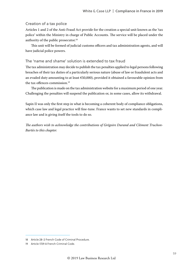#### Creation of a tax police

Articles 1 and 2 of the Anti-Fraud Act provide for the creation a special unit known as the 'tax police' within the Ministry in charge of Public Accounts. The service will be placed under the authority of the public prosecutor.<sup>18</sup>

This unit will be formed of judicial customs officers and tax administration agents, and will have judicial police powers.

#### The 'name and shame' solution is extended to tax fraud

The tax administration may decide to publish the tax penalties applied to legal persons following breaches of their tax duties of a particularly serious nature (abuse of law or fraudulent acts and an evaded duty amounting to at least €50,000), provided it obtained a favourable opinion from the tax offences commission.<sup>19</sup>

The publication is made on the tax administration website for a maximum period of one year. Challenging the penalties will suspend the publication or, in some cases, allow its withdrawal.

Sapin II was only the first step in what is becoming a coherent body of compliance obligations, which case law and legal practice will fine-tune. France wants to set new standards in compliance law and is giving itself the tools to do so.

*The authors wish to acknowledge the contributions of Grégoire Durand and Clément Truchon-Bartès to this chapter.*

<sup>18</sup> Article 28-2 French Code of Criminal Procedure.

<sup>19</sup> Article 1729 A French Criminal Code.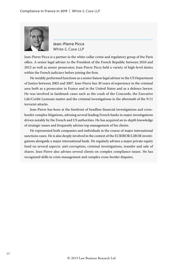

Jean-Pierre Picca White & Case LLP

Jean-Pierre Picca is a partner in the white-collar crime and regulatory group of the Paris office. A senior legal adviser to the President of the French Republic between 2010 and 2012 as well as senior prosecutor, Jean-Pierre Picca held a variety of high-level duties within the French judiciary before joining the firm.

He notably performed functions as a senior liaison legal adviser to the US Department of Justice between 2002 and 2007. Jean-Pierre has 30 years of experience in the criminal area both as a prosecutor in France and in the United States and as a defence lawyer. He was involved in landmark cases such as the crash of the Concorde, the Executive Life/Crédit Lyonnais matter and the criminal investigations in the aftermath of the 9/11 terrorist attacks.

Jean-Pierre has been at the forefront of headline financial investigations and crossborder complex litigations, advising several leading French banks in major investigations driven notably by the French and US authorities. He has acquired an in-depth knowledge of strategic issues and frequently advises top management of his clients.

He represented both companies and individuals in the course of major international sanctions cases. He is also deeply involved in the context of the EURIBOR/LIBOR investigations alongside a major international bank. He regularly advises a major private equity fund on several aspects: anti-corruption, criminal investigations, transfer and sale of shares. Jean-Pierre also advises several clients on complex compliance issues. He has recognised skills in crisis management and complex cross-border disputes.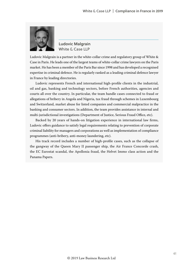

Ludovic Malgrain White & Case LLP

Ludovic Malgrain is a partner in the white-collar crime and regulatory group of White & Case in Paris. He leads one of the largest teams of white-collar crime lawyers on the Paris market. He has been a member of the Paris Bar since 1998 and has developed a recognised expertise in criminal defence. He is regularly ranked as a leading criminal defence lawyer in France by leading directories.

Ludovic represents French and international high-profile clients in the industrial, oil and gas, banking and technology sectors, before French authorities, agencies and courts all over the country. In particular, the team handle cases connected to fraud or allegations of bribery in Angola and Nigeria, tax fraud through schemes in Luxembourg and Switzerland, market abuse for listed companies and commercial malpractice in the banking and consumer sectors. In addition, the team provides assistance in internal and multi-jurisdictional investigations (Department of Justice, Serious Fraud Office, etc).

Backed by 20 years of hands-on litigation experience in international law firms, Ludovic offers guidance to satisfy legal requirements relating to prevention of corporate criminal liability for managers and corporations as well as implementation of compliance programmes (anti-bribery, anti-money laundering, etc).

His track record includes a number of high-profile cases, such as the collapse of the gangway of the Queen Mary II passenger ship, the Air France Concorde crash, the EC Eurostat scandal, the Apollonia fraud, the Helvet Immo class action and the Panama Papers.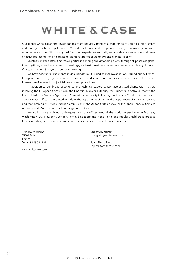## **WHITE & CASE**

Our global white-collar and investigations team regularly handles a wide range of complex, high-stakes and multi-jurisdictional legal matters. We address the risks and complexities arising from investigations and enforcement actions. With our global footprint, experience and skill, we provide comprehensive and costeffective representation and advice to clients facing exposure to civil and criminal liability.

Our team in Paris offers first-rate expertise in advising and defending clients through all phases of global investigations, as well as criminal proceedings, antitrust investigations and contentious regulatory disputes. Our team is over 35 lawyers strong and growing.

We have substantial experience in dealing with multi-jurisdictional investigations carried out by French, European and foreign jurisdictions or regulatory and control authorities and have acquired in-depth knowledge of international judicial process and procedures.

In addition to our broad experience and technical expertise, we have assisted clients with matters involving the European Commission; the Financial Markets Authority, the Prudential Control Authority, the French Medicinal Security Agency and Competition Authority in France; the Financial Conduct Authority and Serious Fraud Office in the United Kingdom; the Department of Justice, the Department of Financial Services and the Commodity Futures Trading Commission in the United States; as well as the Japan Financial Services Authority and Monetary Authority of Singapore in Asia.

We work closely with our colleagues from our offices around the world, in particular in Brussels, Washington, DC, New York, London, Tokyo, Singapore and Hong Kong, and regularly field cross-practice teams including experts in data protection, bank supervisory, capital markets and tax.

19 Place Vendôme 75001 Paris France Tel: +33 1 55 04 15 15

www.whitecase.com

Ludovic Malgrain lmalgrain@whitecase.com

--------------------------

Jean-Pierre Picca jppicca@whitecase.com